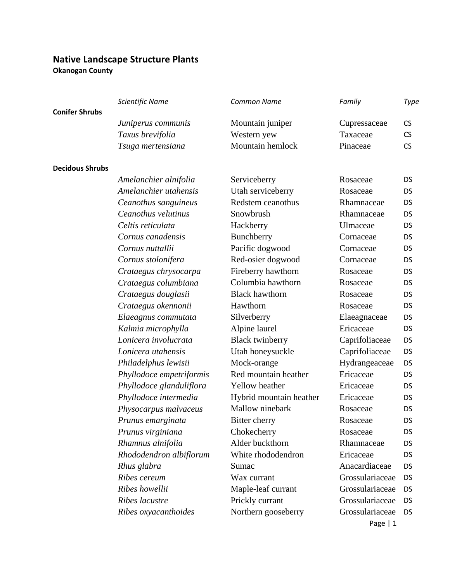## **Native Landscape Structure Plants**

**Okanogan County**

|                        | Scientific Name          | <b>Common Name</b>      | Family          | Type      |
|------------------------|--------------------------|-------------------------|-----------------|-----------|
| <b>Conifer Shrubs</b>  |                          |                         |                 |           |
|                        | Juniperus communis       | Mountain juniper        | Cupressaceae    | <b>CS</b> |
|                        | Taxus brevifolia         | Western yew             | Taxaceae        | <b>CS</b> |
|                        | Tsuga mertensiana        | Mountain hemlock        | Pinaceae        | <b>CS</b> |
| <b>Decidous Shrubs</b> |                          |                         |                 |           |
|                        | Amelanchier alnifolia    | Serviceberry            | Rosaceae        | <b>DS</b> |
|                        | Amelanchier utahensis    | Utah serviceberry       | Rosaceae        | DS        |
|                        | Ceanothus sanguineus     | Redstem ceanothus       | Rhamnaceae      | DS        |
|                        | Ceanothus velutinus      | Snowbrush               | Rhamnaceae      | DS        |
|                        | Celtis reticulata        | Hackberry               | Ulmaceae        | DS        |
|                        | Cornus canadensis        | Bunchberry              | Cornaceae       | DS        |
|                        | Cornus nuttallii         | Pacific dogwood         | Cornaceae       | DS        |
|                        | Cornus stolonifera       | Red-osier dogwood       | Cornaceae       | DS        |
|                        | Crataegus chrysocarpa    | Fireberry hawthorn      | Rosaceae        | DS        |
|                        | Crataegus columbiana     | Columbia hawthorn       | Rosaceae        | <b>DS</b> |
|                        | Crataegus douglasii      | <b>Black hawthorn</b>   | Rosaceae        | DS        |
|                        | Crataegus okennonii      | Hawthorn                | Rosaceae        | DS        |
|                        | Elaeagnus commutata      | Silverberry             | Elaeagnaceae    | DS        |
|                        | Kalmia microphylla       | Alpine laurel           | Ericaceae       | DS        |
|                        | Lonicera involucrata     | <b>Black twinberry</b>  | Caprifoliaceae  | DS        |
|                        | Lonicera utahensis       | Utah honeysuckle        | Caprifoliaceae  | DS        |
|                        | Philadelphus lewisii     | Mock-orange             | Hydrangeaceae   | DS        |
|                        | Phyllodoce empetriformis | Red mountain heather    | Ericaceae       | DS        |
|                        | Phyllodoce glanduliflora | Yellow heather          | Ericaceae       | DS        |
|                        | Phyllodoce intermedia    | Hybrid mountain heather | Ericaceae       | DS        |
|                        | Physocarpus malvaceus    | Mallow ninebark         | Rosaceae        | DS        |
|                        | Prunus emarginata        | Bitter cherry           | Rosaceae        | DS        |
|                        | Prunus virginiana        | Chokecherry             | Rosaceae        | DS        |
|                        | Rhamnus alnifolia        | Alder buckthorn         | Rhamnaceae      | DS        |
|                        | Rhododendron albiflorum  | White rhododendron      | Ericaceae       | DS        |
|                        | Rhus glabra              | Sumac                   | Anacardiaceae   | DS        |
|                        | Ribes cereum             | Wax currant             | Grossulariaceae | DS        |
|                        | Ribes howellii           | Maple-leaf currant      | Grossulariaceae | DS        |
|                        | Ribes lacustre           | Prickly currant         | Grossulariaceae | DS        |
|                        | Ribes oxyacanthoides     | Northern gooseberry     | Grossulariaceae | DS.       |
|                        |                          |                         | Page $ 1$       |           |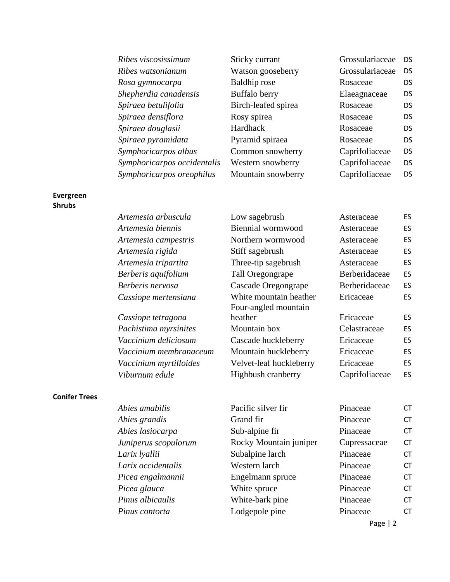*Ribes viscosissimum* Sticky currant Grossulariaceae DS *Ribes watsonianum* Watson gooseberry Grossulariaceae DS *Rosa gymnocarpa* **Baldhip rose** Rosaceae DS *Shepherdia canadensis* Buffalo berry Elaeagnaceae DS *Spiraea betulifolia* Birch-leafed spirea Rosaceae DS *Spiraea densiflora* **Rosy spirea** Rosaceae **DS** *Spiraea douglasii* Hardhack Rosaceae DS *Spiraea pyramidata* Pyramid spiraea Rosaceae DS *Symphoricarpos albus* Common snowberry Caprifoliaceae DS *Symphoricarpos occidentalis* Western snowberry Caprifoliaceae DS *Symphoricarpos oreophilus* Mountain snowberry Caprifoliaceae DS

### **Evergreen Shrubs**

| Artemesia arbuscula  | Low sagebrush          | Asteraceae    | ES |
|----------------------|------------------------|---------------|----|
| Artemesia biennis    | Biennial wormwood      | Asteraceae    | ES |
| Artemesia campestris | Northern wormwood      | Asteraceae    | ES |
| Artemesia rigida     | Stiff sagebrush        | Asteraceae    | ES |
| Artemesia tripartita | Three-tip sagebrush    | Asteraceae    | ES |
| Berberis aquifolium  | Tall Oregongrape       | Berberidaceae | ES |
| Berberis nervosa     | Cascade Oregongrape    | Berberidaceae | ES |
| Cassiope mertensiana | White mountain heather | Ericaceae     | ES |
|                      | Four-angled mountain   |               |    |
| Cassiope tetragona   | heather                | Ericaceae     | ES |
|                      |                        |               |    |

Pachistima myrsinites **Mountain box** Celastraceae ES Vaccinium deliciosum Cascade huckleberry Ericaceae ES Vaccinium membranaceum Mountain huckleberry Ericaceae ES Vaccinium myrtilloides Velvet-leaf huckleberry Ericaceae ES *Viburnum edule* **Highbush cranberry Caprifoliaceae** ES

# **Conifer Trees**

| Abies amabilis       | Pacific silver fir     | Pinaceae     | <b>CT</b> |
|----------------------|------------------------|--------------|-----------|
| Abies grandis        | Grand fir              | Pinaceae     | <b>CT</b> |
| Abies lasiocarpa     | Sub-alpine fir         | Pinaceae     | <b>CT</b> |
| Juniperus scopulorum | Rocky Mountain juniper | Cupressaceae | <b>CT</b> |
| Larix lyallii        | Subalpine larch        | Pinaceae     | <b>CT</b> |
| Larix occidentalis   | Western larch          | Pinaceae     | <b>CT</b> |
| Picea engalmannii    | Engelmann spruce       | Pinaceae     | <b>CT</b> |
| Picea glauca         | White spruce           | Pinaceae     | <b>CT</b> |
| Pinus albicaulis     | White-bark pine        | Pinaceae     | <b>CT</b> |
| Pinus contorta       | Lodgepole pine         | Pinaceae     | <b>CT</b> |
|                      |                        |              |           |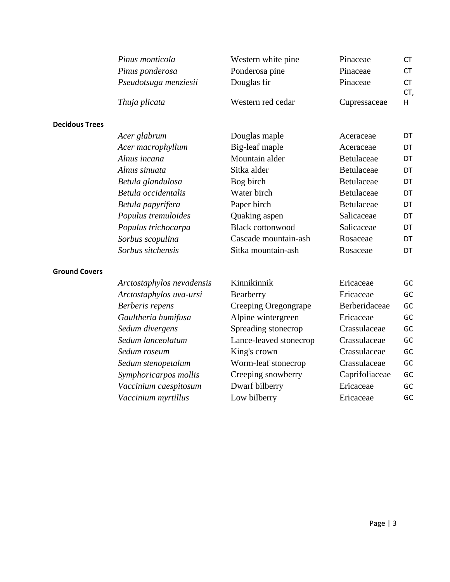|                       | Pinus monticola           | Western white pine      | Pinaceae       | <b>CT</b>        |
|-----------------------|---------------------------|-------------------------|----------------|------------------|
|                       | Pinus ponderosa           | Ponderosa pine          | Pinaceae       | <b>CT</b>        |
|                       | Pseudotsuga menziesii     | Douglas fir             | Pinaceae       | <b>CT</b><br>CT, |
|                       | Thuja plicata             | Western red cedar       | Cupressaceae   | H                |
| <b>Decidous Trees</b> |                           |                         |                |                  |
|                       | Acer glabrum              | Douglas maple           | Aceraceae      | DT               |
|                       | Acer macrophyllum         | Big-leaf maple          | Aceraceae      | DT               |
|                       | Alnus incana              | Mountain alder          | Betulaceae     | DT               |
|                       | Alnus sinuata             | Sitka alder             | Betulaceae     | DT               |
|                       | Betula glandulosa         | Bog birch               | Betulaceae     | DT               |
|                       | Betula occidentalis       | Water birch             | Betulaceae     | DT               |
|                       | Betula papyrifera         | Paper birch             | Betulaceae     | DT               |
|                       | Populus tremuloides       | Quaking aspen           | Salicaceae     | DT               |
|                       | Populus trichocarpa       | <b>Black cottonwood</b> | Salicaceae     | DT               |
|                       | Sorbus scopulina          | Cascade mountain-ash    | Rosaceae       | DT               |
|                       | Sorbus sitchensis         | Sitka mountain-ash      | Rosaceae       | DT               |
| <b>Ground Covers</b>  |                           |                         |                |                  |
|                       | Arctostaphylos nevadensis | Kinnikinnik             | Ericaceae      | GC               |
|                       | Arctostaphylos uva-ursi   | Bearberry               | Ericaceae      | GC               |
|                       | Berberis repens           | Creeping Oregongrape    | Berberidaceae  | GC               |
|                       | Gaultheria humifusa       | Alpine wintergreen      | Ericaceae      | GC               |
|                       | Sedum divergens           | Spreading stonecrop     | Crassulaceae   | GC               |
|                       | Sedum lanceolatum         | Lance-leaved stonecrop  | Crassulaceae   | GC               |
|                       | Sedum roseum              | King's crown            | Crassulaceae   | GC               |
|                       | Sedum stenopetalum        | Worm-leaf stonecrop     | Crassulaceae   | GC               |
|                       | Symphoricarpos mollis     | Creeping snowberry      | Caprifoliaceae | GC               |
|                       | Vaccinium caespitosum     | Dwarf bilberry          | Ericaceae      | GC               |
|                       | Vaccinium myrtillus       | Low bilberry            | Ericaceae      | GC               |
|                       |                           |                         |                |                  |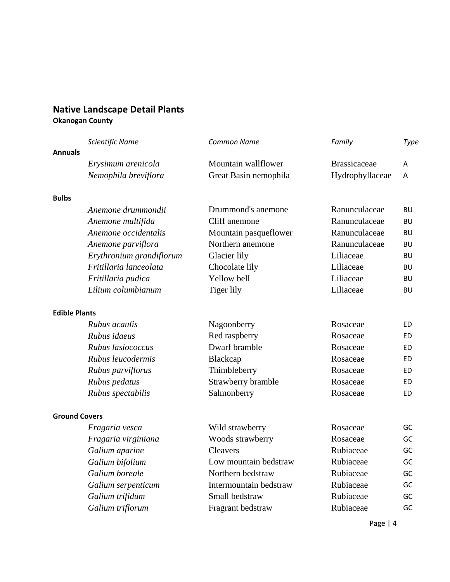### **Native Landscape Detail Plants Okanogan County**

|                      | Scientific Name          | <b>Common Name</b>     | Family              | Type      |
|----------------------|--------------------------|------------------------|---------------------|-----------|
| <b>Annuals</b>       |                          |                        |                     |           |
|                      | Erysimum arenicola       | Mountain wallflower    | <b>Brassicaceae</b> | A         |
|                      | Nemophila breviflora     | Great Basin nemophila  | Hydrophyllaceae     | A         |
| <b>Bulbs</b>         |                          |                        |                     |           |
|                      | Anemone drummondii       | Drummond's anemone     | Ranunculaceae       | BU        |
|                      | Anemone multifida        | Cliff anemone          | Ranunculaceae       | BU        |
|                      | Anemone occidentalis     | Mountain pasqueflower  | Ranunculaceae       | BU        |
|                      | Anemone parviflora       | Northern anemone       | Ranunculaceae       | <b>BU</b> |
|                      | Erythronium grandiflorum | Glacier lily           | Liliaceae           | <b>BU</b> |
|                      | Fritillaria lanceolata   | Chocolate lily         | Liliaceae           | <b>BU</b> |
|                      | Fritillaria pudica       | Yellow bell            | Liliaceae           | <b>BU</b> |
|                      | Lilium columbianum       | Tiger lily             | Liliaceae           | BU        |
| <b>Edible Plants</b> |                          |                        |                     |           |
|                      | Rubus acaulis            | Nagoonberry            | Rosaceae            | ED.       |
|                      | Rubus idaeus             | Red raspberry          | Rosaceae            | <b>ED</b> |
|                      | Rubus lasiococcus        | Dwarf bramble          | Rosaceae            | ED        |
|                      | Rubus leucodermis        | Blackcap               | Rosaceae            | ED        |
|                      | Rubus parviflorus        | Thimbleberry           | Rosaceae            | <b>ED</b> |
|                      | Rubus pedatus            | Strawberry bramble     | Rosaceae            | <b>ED</b> |
|                      | Rubus spectabilis        | Salmonberry            | Rosaceae            | ED        |
| <b>Ground Covers</b> |                          |                        |                     |           |
|                      | Fragaria vesca           | Wild strawberry        | Rosaceae            | GC        |
|                      | Fragaria virginiana      | Woods strawberry       | Rosaceae            | GC        |
|                      | Galium aparine           | <b>Cleavers</b>        | Rubiaceae           | GC        |
|                      | Galium bifolium          | Low mountain bedstraw  | Rubiaceae           | GC        |
|                      | Galium boreale           | Northern bedstraw      | Rubiaceae           | GC        |
|                      | Galium serpenticum       | Intermountain bedstraw | Rubiaceae           | GC        |
|                      | Galium trifidum          | Small bedstraw         | Rubiaceae           | GC        |
|                      | Galium triflorum         | Fragrant bedstraw      | Rubiaceae           | GC        |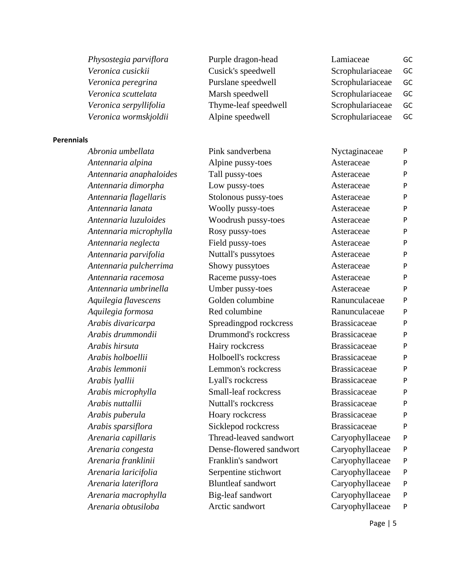| Physostegia parviflora | Purple dragon-head   | Lamiaceae        | GC |
|------------------------|----------------------|------------------|----|
| Veronica cusickii      | Cusick's speedwell   | Scrophulariaceae | GC |
| Veronica peregrina     | Purslane speedwell   | Scrophulariaceae | GC |
| Veronica scuttelata    | Marsh speedwell      | Scrophulariaceae | GC |
| Veronica serpyllifolia | Thyme-leaf speedwell | Scrophulariaceae | GC |
| Veronica wormskjoldii  | Alpine speedwell     | Scrophulariaceae | GC |
|                        |                      |                  |    |

#### **Perennials**

*Arenaria obtusiloba* Arctic sandwort Caryophyllaceae P

*Abronia umbellata* Pink sandverbena Nyctaginaceae P *Antennaria alpina Alpine pussy-toes* **Asteraceae** P Antennaria anaphaloides Tall pussy-toes Asteraceae P *Antennaria dimorpha* **Low pussy-toes** Asteraceae P Antennaria flagellaris **Stolonous pussy-toes** Asteraceae P *Antennaria lanata* **Woolly pussy-toes** Asteraceae P *Antennaria luzuloides* Woodrush pussy-toes Asteraceae P Antennaria microphylla **Rosy pussy-toes** Asteraceae P *Antennaria neglecta* **Field pussy-toes** Asteraceae P Antennaria parvifolia **Nuttall's pussytoes** Asteraceae P Antennaria pulcherrima **Showy pussytoes** Asteraceae P *Antennaria racemosa* Raceme pussy-toes Asteraceae P *Antennaria umbrinella* Umber pussy-toes Asteraceae P Aquilegia flavescens **Golden columbine** Ranunculaceae P *Aquilegia formosa* **Red columbine** Ranunculaceae **P** *Arabis divaricarpa* **Spreadingpod rockcress** Brassicaceae P *Arabis drummondii* Drummond's rockcress Brassicaceae P *Arabis hirsuta* Hairy rockcress Brassicaceae P *Arabis holboellii* Holboell's rockcress Brassicaceae P *Arabis lemmonii* Lemmon's rockcress Brassicaceae P *Arabis lyallii* Lyall's rockcress Brassicaceae P *Arabis microphylla* Small-leaf rockcress Brassicaceae P *Arabis nuttallii* Nuttall's rockcress Brassicaceae P *Arabis puberula* **Hoary rockcress** Brassicaceae P *Arabis sparsiflora* **Sicklepod rockcress** Brassicaceae P *Arenaria capillaris* Thread-leaved sandwort Caryophyllaceae P *Arenaria congesta* Dense-flowered sandwort Caryophyllaceae P *Arenaria franklinii* Franklin's sandwort Caryophyllaceae P *Arenaria laricifolia* Serpentine stichwort Caryophyllaceae P *Arenaria lateriflora* Bluntleaf sandwort Caryophyllaceae P *Arenaria macrophylla* Big-leaf sandwort Caryophyllaceae P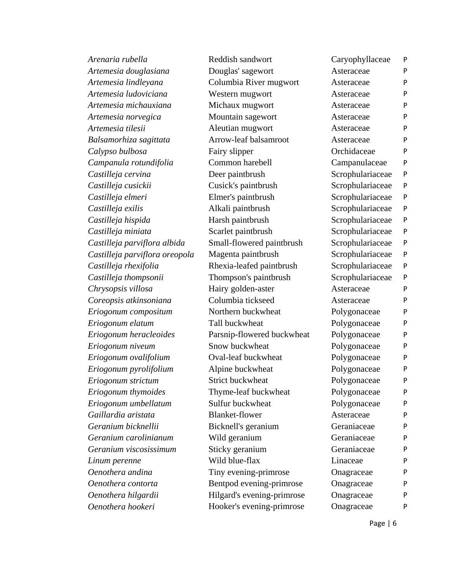| Arenaria rubella               | Reddish sandwort           | Caryophyllaceae  | P            |
|--------------------------------|----------------------------|------------------|--------------|
| Artemesia douglasiana          | Douglas' sagewort          | Asteraceae       | P            |
| Artemesia lindleyana           | Columbia River mugwort     | Asteraceae       | $\mathsf{P}$ |
| Artemesia ludoviciana          | Western mugwort            | Asteraceae       | P            |
| Artemesia michauxiana          | Michaux mugwort            | Asteraceae       | $\mathsf{P}$ |
| Artemesia norvegica            | Mountain sagewort          | Asteraceae       | P            |
| Artemesia tilesii              | Aleutian mugwort           | Asteraceae       | P            |
| Balsamorhiza sagittata         | Arrow-leaf balsamroot      | Asteraceae       | $\mathsf{P}$ |
| Calypso bulbosa                | Fairy slipper              | Orchidaceae      | P            |
| Campanula rotundifolia         | Common harebell            | Campanulaceae    | $\mathsf{P}$ |
| Castilleja cervina             | Deer paintbrush            | Scrophulariaceae | $\mathsf{P}$ |
| Castilleja cusickii            | Cusick's paintbrush        | Scrophulariaceae | $\mathsf{P}$ |
| Castilleja elmeri              | Elmer's paintbrush         | Scrophulariaceae | $\sf P$      |
| Castilleja exilis              | Alkali paintbrush          | Scrophulariaceae | P            |
| Castilleja hispida             | Harsh paintbrush           | Scrophulariaceae | $\mathsf{P}$ |
| Castilleja miniata             | Scarlet paintbrush         | Scrophulariaceae | P            |
| Castilleja parviflora albida   | Small-flowered paintbrush  | Scrophulariaceae | $\mathsf{P}$ |
| Castilleja parviflora oreopola | Magenta paintbrush         | Scrophulariaceae | $\mathsf{P}$ |
| Castilleja rhexifolia          | Rhexia-leafed paintbrush   | Scrophulariaceae | $\sf P$      |
| Castilleja thompsonii          | Thompson's paintbrush      | Scrophulariaceae | $\mathsf{P}$ |
| Chrysopsis villosa             | Hairy golden-aster         | Asteraceae       | P            |
| Coreopsis atkinsoniana         | Columbia tickseed          | Asteraceae       | P            |
| Eriogonum compositum           | Northern buckwheat         | Polygonaceae     | P            |
| Eriogonum elatum               | Tall buckwheat             | Polygonaceae     | P            |
| Eriogonum heracleoides         | Parsnip-flowered buckwheat | Polygonaceae     | $\mathsf{P}$ |
| Eriogonum niveum               | Snow buckwheat             | Polygonaceae     | $\mathsf{P}$ |
| Eriogonum ovalifolium          | Oval-leaf buckwheat        | Polygonaceae     | P            |
| Eriogonum pyrolifolium         | Alpine buckwheat           | Polygonaceae     | P            |
| Eriogonum strictum             | Strict buckwheat           | Polygonaceae     | P            |
| Eriogonum thymoides            | Thyme-leaf buckwheat       | Polygonaceae     | P            |
| Eriogonum umbellatum           | Sulfur buckwheat           | Polygonaceae     | P            |
| Gaillardia aristata            | <b>Blanket-flower</b>      | Asteraceae       | P            |
| Geranium bicknellii            | Bicknell's geranium        | Geraniaceae      | P            |
| Geranium carolinianum          | Wild geranium              | Geraniaceae      | P            |
| Geranium viscosissimum         | Sticky geranium            | Geraniaceae      | P            |
| Linum perenne                  | Wild blue-flax             | Linaceae         | P            |
| Oenothera andina               | Tiny evening-primrose      | Onagraceae       | P            |
| Oenothera contorta             | Bentpod evening-primrose   | Onagraceae       | P            |
| Oenothera hilgardii            | Hilgard's evening-primrose | Onagraceae       | P            |
| Oenothera hookeri              | Hooker's evening-primrose  | Onagraceae       | P            |